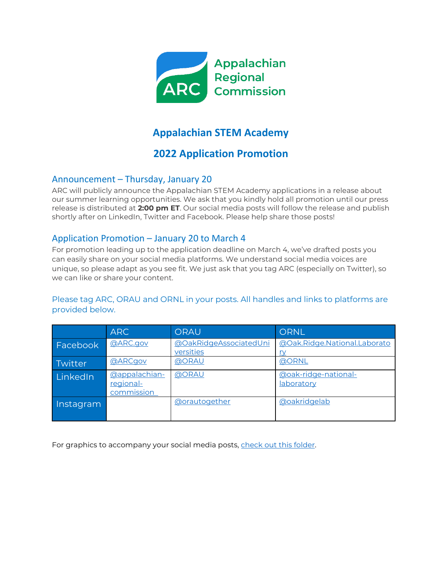

# **Appalachian STEM Academy**

## **2022 Application Promotion**

### Announcement – Thursday, January 20

ARC will publicly announce the Appalachian STEM Academy applications in a release about our summer learning opportunities. We ask that you kindly hold all promotion until our press release is distributed at **2:00 pm ET**. Our social media posts will follow the release and publish shortly after on LinkedIn, Twitter and Facebook. Please help share those posts!

## Application Promotion – January 20 to March 4

For promotion leading up to the application deadline on March 4, we've drafted posts you can easily share on your social media platforms. We understand social media voices are unique, so please adapt as you see fit. We just ask that you tag ARC (especially on Twitter), so we can like or share your content.

### Please tag ARC, ORAU and ORNL in your posts. All handles and links to platforms are provided below.

|           | <b>ARC</b>                               | ORAU                                | <b>ORNL</b>                               |
|-----------|------------------------------------------|-------------------------------------|-------------------------------------------|
| Facebook  | @ARC.gov                                 | @OakRidgeAssociatedUni<br>versities | @Oak.Ridge.National.Laborato<br><u>ry</u> |
| Twitter   | <b>@ARCgov</b>                           | <b>@ORAU</b>                        | <b>@ORNL</b>                              |
| LinkedIn  | @appalachian-<br>regional-<br>commission | <b>@ORAU</b>                        | @oak-ridge-national-<br>laboratory        |
| Instagram |                                          | <b>@orautogether</b>                | <b>@oakridgelab</b>                       |

For graphics to accompany your social media posts, check out this folder.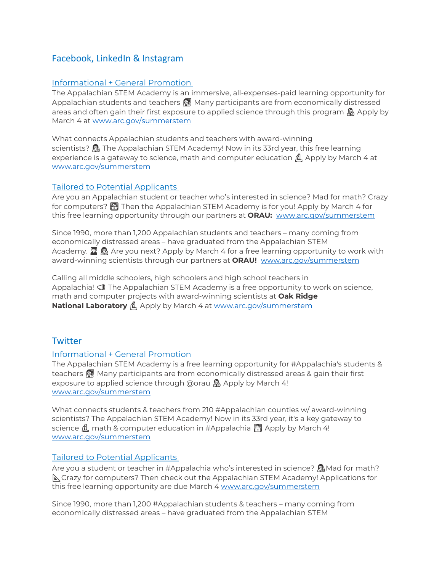## Facebook, LinkedIn & Instagram

#### Informational + General Promotion

The Appalachian STEM Academy is an immersive, all-expenses-paid learning opportunity for Appalachian students and teachers **@** Many participants are from economically distressed areas and often gain their first exposure to applied science through this program  $\mathbb{R}$  Apply by March 4 at [www.arc.gov/summerstem](http://www.arc.gov/arc-oak-ridge-summer-program/)

What connects Appalachian students and teachers with award-winning scientists?  $\mathbb{R}$  The Appalachian STEM Academy! Now in its 33rd year, this free learning experience is a gateway to science, math and computer education  $\hat{\mu}$ , Apply by March 4 at [www.arc.gov/summerstem](https://www.arc.gov/arc-oak-ridge-summer-program/)

#### Tailored to Potential Applicants

Are you an Appalachian student or teacher who's interested in science? Mad for math? Crazy for computers? **W** Then the Appalachian STEM Academy is for you! Apply by March 4 for this free learning opportunity through our partners at **ORAU:** [www.arc.gov/summerstem](http://www.arc.gov/arc-oak-ridge-summer-program/)

Since 1990, more than 1,200 Appalachian students and teachers – many coming from economically distressed areas – have graduated from the Appalachian STEM Academy.  $\mathbb{R}$   $\mathbb{R}$  Are you next? Apply by March 4 for a free learning opportunity to work with award-winning scientists through our partners at **ORAU!** [www.arc.gov/summerstem](https://www.arc.gov/arc-oak-ridge-summer-program/)

Calling all middle schoolers, high schoolers and high school teachers in Appalachia!  $\sqrt{a}$  The Appalachian STEM Academy is a free opportunity to work on science, math and computer projects with award-winning scientists at **Oak Ridge National Laboratory <b>A** Apply by March 4 at [www.arc.gov/summerstem](http://www.arc.gov/arc-oak-ridge-summer-program/)

## **Twitter**

#### Informational + General Promotion

The Appalachian STEM Academy is a free learning opportunity for #Appalachia's students & teachers **&** Many participants are from economically distressed areas & gain their first exposure to applied science through @orau  $\mathbb{R}$  Apply by March 4! [www.arc.gov/summerstem](http://www.arc.gov/arc-oak-ridge-summer-program/)

What connects students & teachers from 210 #Appalachian counties w/ award-winning scientists? The Appalachian STEM Academy! Now in its 33rd year, it's a key gateway to science  $\underline{\mathbf{A}}$  math & computer education in #Appalachia  $\underline{\mathbf{A}}$  Apply by March 4! [www.arc.gov/summerstem](https://www.arc.gov/arc-oak-ridge-summer-program/)

#### Tailored to Potential Applicants

Are you a student or teacher in #Appalachia who's interested in science?  $\mathbb{R}$  Mad for math? Crazy for computers? Then check out the Appalachian STEM Academy! Applications for this free learning opportunity are due March 4 [www.arc.gov/summerstem](http://www.arc.gov/arc-oak-ridge-summer-program/)

Since 1990, more than 1,200 #Appalachian students & teachers – many coming from economically distressed areas – have graduated from the Appalachian STEM